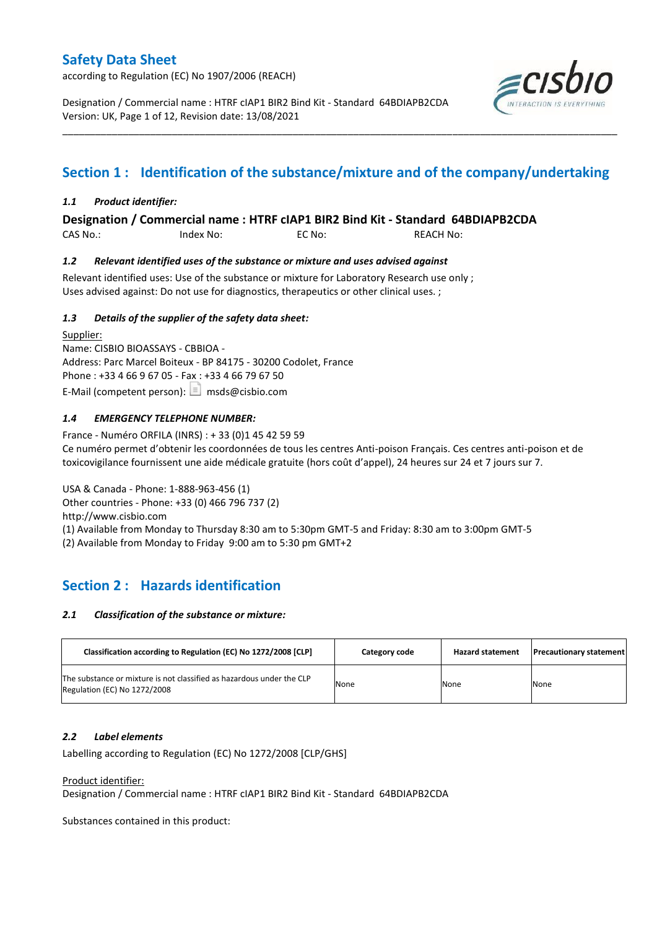according to Regulation (EC) No 1907/2006 (REACH)

Designation / Commercial name : HTRF cIAP1 BIR2 Bind Kit - Standard 64BDIAPB2CDA Version: UK, Page 1 of 12, Revision date: 13/08/2021



# **Section 1 : Identification of the substance/mixture and of the company/undertaking**

\_\_\_\_\_\_\_\_\_\_\_\_\_\_\_\_\_\_\_\_\_\_\_\_\_\_\_\_\_\_\_\_\_\_\_\_\_\_\_\_\_\_\_\_\_\_\_\_\_\_\_\_\_\_\_\_\_\_\_\_\_\_\_\_\_\_\_\_\_\_\_\_\_\_\_\_\_\_\_\_\_\_\_\_\_\_\_\_\_\_\_\_\_\_\_\_\_\_\_\_\_

### *1.1 Product identifier:*

**Designation / Commercial name : HTRF cIAP1 BIR2 Bind Kit - Standard 64BDIAPB2CDA** 

CAS No.: Index No: EC No: REACH No:

### *1.2 Relevant identified uses of the substance or mixture and uses advised against*

Relevant identified uses: Use of the substance or mixture for Laboratory Research use only ; Uses advised against: Do not use for diagnostics, therapeutics or other clinical uses. ;

### *1.3 Details of the supplier of the safety data sheet:*

Supplier: Name: CISBIO BIOASSAYS - CBBIOA - Address: Parc Marcel Boiteux - BP 84175 - 30200 Codolet, France Phone : +33 4 66 9 67 05 - Fax : +33 4 66 79 67 50 E-Mail (competent person):  $\boxed{\equiv}$  msds@cisbio.com

### *1.4 EMERGENCY TELEPHONE NUMBER:*

France - Numéro ORFILA (INRS) : + 33 (0)1 45 42 59 59 Ce numéro permet d'obtenir les coordonnées de tous les centres Anti-poison Français. Ces centres anti-poison et de toxicovigilance fournissent une aide médicale gratuite (hors coût d'appel), 24 heures sur 24 et 7 jours sur 7.

USA & Canada - Phone: 1-888-963-456 (1) Other countries - Phone: +33 (0) 466 796 737 (2) http://www.cisbio.com (1) Available from Monday to Thursday 8:30 am to 5:30pm GMT-5 and Friday: 8:30 am to 3:00pm GMT-5 (2) Available from Monday to Friday 9:00 am to 5:30 pm GMT+2

# **Section 2 : Hazards identification**

### *2.1 Classification of the substance or mixture:*

| Classification according to Regulation (EC) No 1272/2008 [CLP]                                        | Category code | <b>Hazard statement</b> | <b>Precautionary statement</b> |
|-------------------------------------------------------------------------------------------------------|---------------|-------------------------|--------------------------------|
| The substance or mixture is not classified as hazardous under the CLP<br>Regulation (EC) No 1272/2008 | None          | None                    | None                           |

#### *2.2 Label elements*

Labelling according to Regulation (EC) No 1272/2008 [CLP/GHS]

#### Product identifier:

Designation / Commercial name : HTRF cIAP1 BIR2 Bind Kit - Standard 64BDIAPB2CDA

Substances contained in this product: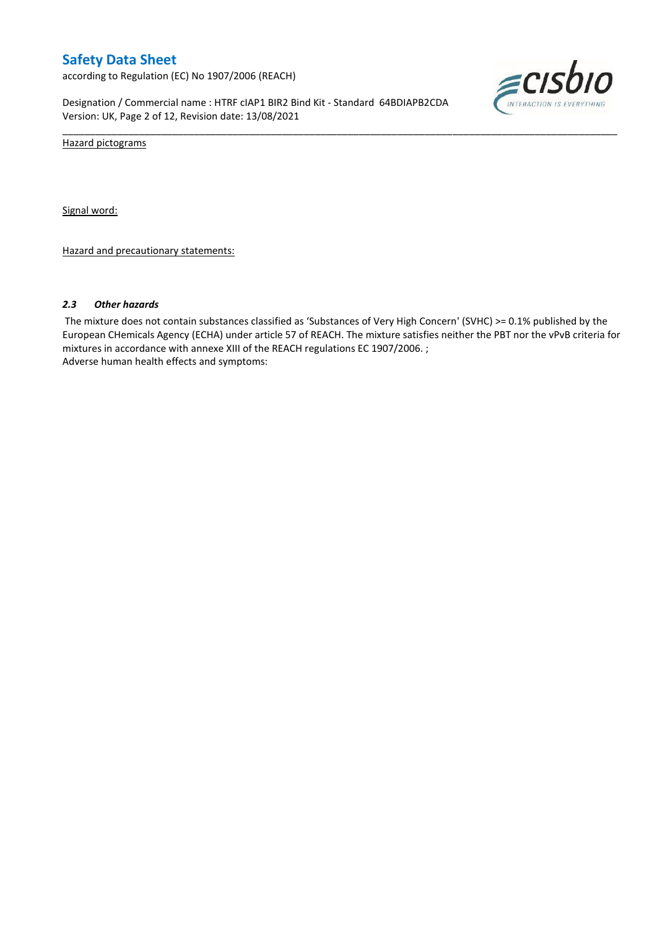according to Regulation (EC) No 1907/2006 (REACH)

Designation / Commercial name : HTRF cIAP1 BIR2 Bind Kit - Standard 64BDIAPB2CDA Version: UK, Page 2 of 12, Revision date: 13/08/2021



Hazard pictograms

Signal word:

Hazard and precautionary statements:

#### *2.3 Other hazards*

The mixture does not contain substances classified as 'Substances of Very High Concern' (SVHC) >= 0.1% published by the European CHemicals Agency (ECHA) under article 57 of REACH. The mixture satisfies neither the PBT nor the vPvB criteria for mixtures in accordance with annexe XIII of the REACH regulations EC 1907/2006. ; Adverse human health effects and symptoms:

\_\_\_\_\_\_\_\_\_\_\_\_\_\_\_\_\_\_\_\_\_\_\_\_\_\_\_\_\_\_\_\_\_\_\_\_\_\_\_\_\_\_\_\_\_\_\_\_\_\_\_\_\_\_\_\_\_\_\_\_\_\_\_\_\_\_\_\_\_\_\_\_\_\_\_\_\_\_\_\_\_\_\_\_\_\_\_\_\_\_\_\_\_\_\_\_\_\_\_\_\_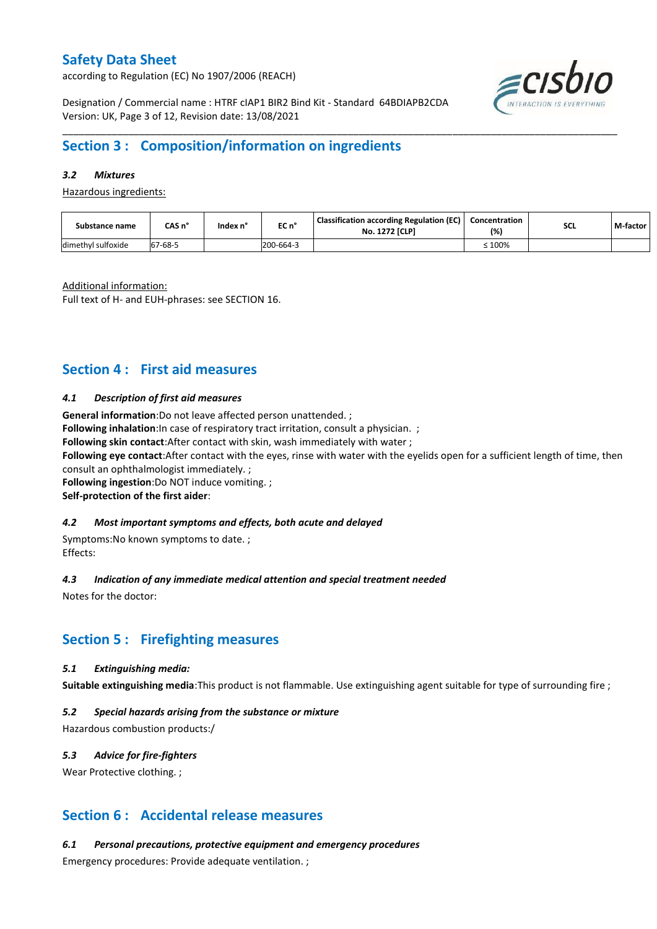according to Regulation (EC) No 1907/2006 (REACH)



Designation / Commercial name : HTRF cIAP1 BIR2 Bind Kit - Standard 64BDIAPB2CDA Version: UK, Page 3 of 12, Revision date: 13/08/2021

## **Section 3 : Composition/information on ingredients**

### *3.2 Mixtures*

Hazardous ingredients:

| Substance name     | CAS n°       | Index n' | EC n°     | <b>Classification according Regulation (EC)</b><br><b>No. 1272 [CLP]</b> | Concentration<br>(%) | <b>SCL</b> | M-factor |
|--------------------|--------------|----------|-----------|--------------------------------------------------------------------------|----------------------|------------|----------|
| dimethyl sulfoxide | 7-68-5<br>67 |          | 200-664-3 |                                                                          | :100%                |            |          |

\_\_\_\_\_\_\_\_\_\_\_\_\_\_\_\_\_\_\_\_\_\_\_\_\_\_\_\_\_\_\_\_\_\_\_\_\_\_\_\_\_\_\_\_\_\_\_\_\_\_\_\_\_\_\_\_\_\_\_\_\_\_\_\_\_\_\_\_\_\_\_\_\_\_\_\_\_\_\_\_\_\_\_\_\_\_\_\_\_\_\_\_\_\_\_\_\_\_\_\_\_

Additional information:

Full text of H- and EUH-phrases: see SECTION 16.

## **Section 4 : First aid measures**

#### *4.1 Description of first aid measures*

**General information**:Do not leave affected person unattended. ;

**Following inhalation**: In case of respiratory tract irritation, consult a physician. ;

**Following skin contact**:After contact with skin, wash immediately with water ;

**Following eye contact**:After contact with the eyes, rinse with water with the eyelids open for a sufficient length of time, then consult an ophthalmologist immediately. ;

**Following ingestion**:Do NOT induce vomiting. ;

#### **Self-protection of the first aider**:

#### *4.2 Most important symptoms and effects, both acute and delayed*

Symptoms:No known symptoms to date. ; Effects:

#### *4.3 Indication of any immediate medical attention and special treatment needed*

Notes for the doctor:

## **Section 5 : Firefighting measures**

#### *5.1 Extinguishing media:*

**Suitable extinguishing media**:This product is not flammable. Use extinguishing agent suitable for type of surrounding fire ;

#### *5.2 Special hazards arising from the substance or mixture*

Hazardous combustion products:/

#### *5.3 Advice for fire-fighters*

Wear Protective clothing.;

## **Section 6 : Accidental release measures**

*6.1 Personal precautions, protective equipment and emergency procedures*

Emergency procedures: Provide adequate ventilation. ;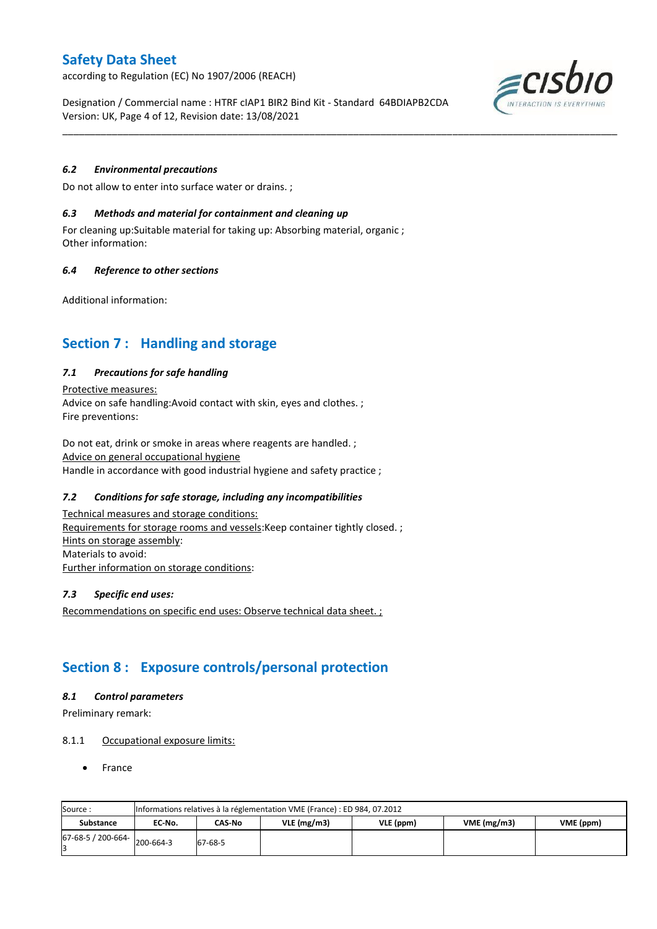according to Regulation (EC) No 1907/2006 (REACH)

Designation / Commercial name : HTRF cIAP1 BIR2 Bind Kit - Standard 64BDIAPB2CDA Version: UK, Page 4 of 12, Revision date: 13/08/2021

\_\_\_\_\_\_\_\_\_\_\_\_\_\_\_\_\_\_\_\_\_\_\_\_\_\_\_\_\_\_\_\_\_\_\_\_\_\_\_\_\_\_\_\_\_\_\_\_\_\_\_\_\_\_\_\_\_\_\_\_\_\_\_\_\_\_\_\_\_\_\_\_\_\_\_\_\_\_\_\_\_\_\_\_\_\_\_\_\_\_\_\_\_\_\_\_\_\_\_\_\_

## *6.2 Environmental precautions*

Do not allow to enter into surface water or drains. ;

#### *6.3 Methods and material for containment and cleaning up*

For cleaning up:Suitable material for taking up: Absorbing material, organic ; Other information:

### *6.4 Reference to other sections*

Additional information:

## **Section 7 : Handling and storage**

### *7.1 Precautions for safe handling*

Protective measures: Advice on safe handling:Avoid contact with skin, eyes and clothes. ; Fire preventions:

Do not eat, drink or smoke in areas where reagents are handled. ; Advice on general occupational hygiene Handle in accordance with good industrial hygiene and safety practice ;

### *7.2 Conditions for safe storage, including any incompatibilities*

Technical measures and storage conditions: Requirements for storage rooms and vessels: Keep container tightly closed. ; Hints on storage assembly: Materials to avoid: Further information on storage conditions:

#### *7.3 Specific end uses:*

Recommendations on specific end uses: Observe technical data sheet. ;

## **Section 8 : Exposure controls/personal protection**

#### *8.1 Control parameters*

Preliminary remark:

#### 8.1.1 Occupational exposure limits:

France

| Source:            |           | Informations relatives à la réglementation VME (France) : ED 984, 07.2012 |               |           |            |           |  |  |  |  |  |  |  |
|--------------------|-----------|---------------------------------------------------------------------------|---------------|-----------|------------|-----------|--|--|--|--|--|--|--|
| <b>Substance</b>   | EC No.    | CAS-No                                                                    | $VLE$ (mg/m3) | VLE (ppm) | VME(mg/m3) | VME (ppm) |  |  |  |  |  |  |  |
| 67-68-5 / 200-664- | 200-664-3 | 67-68-5                                                                   |               |           |            |           |  |  |  |  |  |  |  |

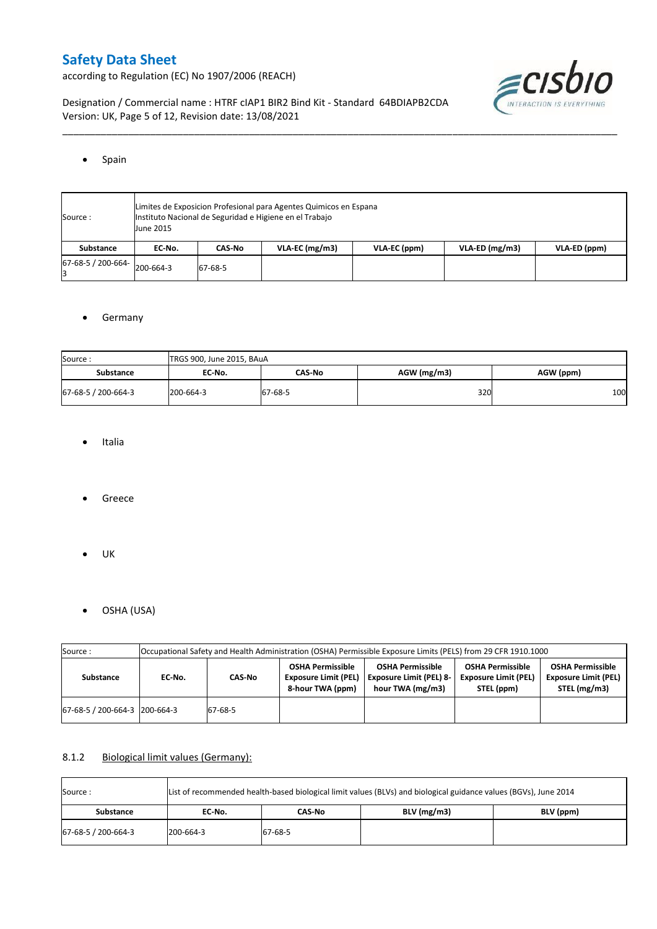according to Regulation (EC) No 1907/2006 (REACH)



Designation / Commercial name : HTRF cIAP1 BIR2 Bind Kit - Standard 64BDIAPB2CDA Version: UK, Page 5 of 12, Revision date: 13/08/2021

### • Spain

| Source:                      | June 2015 | Limites de Exposicion Profesional para Agentes Quimicos en Espana<br>Instituto Nacional de Seguridad e Higiene en el Trabajo |                  |              |                  |              |  |  |  |  |  |  |  |
|------------------------------|-----------|------------------------------------------------------------------------------------------------------------------------------|------------------|--------------|------------------|--------------|--|--|--|--|--|--|--|
| Substance                    | EC No.    | CAS-No                                                                                                                       | $VLA-EC$ (mg/m3) | VLA-EC (ppm) | $VLA-ED (mg/m3)$ | VLA-ED (ppm) |  |  |  |  |  |  |  |
| 67-68-5 / 200-664- 200-664-3 |           | 67-68-5                                                                                                                      |                  |              |                  |              |  |  |  |  |  |  |  |

\_\_\_\_\_\_\_\_\_\_\_\_\_\_\_\_\_\_\_\_\_\_\_\_\_\_\_\_\_\_\_\_\_\_\_\_\_\_\_\_\_\_\_\_\_\_\_\_\_\_\_\_\_\_\_\_\_\_\_\_\_\_\_\_\_\_\_\_\_\_\_\_\_\_\_\_\_\_\_\_\_\_\_\_\_\_\_\_\_\_\_\_\_\_\_\_\_\_\_\_\_

### **•** Germany

| Source:             | TRGS 900, June 2015, BAuA |               |               |           |
|---------------------|---------------------------|---------------|---------------|-----------|
| <b>Substance</b>    | EC No.                    | <b>CAS-No</b> | $AGW$ (mg/m3) | AGW (ppm) |
| 67-68-5 / 200-664-3 | 200-664-3                 | 67-68-5       | 320           | 100       |

- Italia
- Greece
- $\bullet$  UK
- OSHA (USA)

| Source:                       | Occupational Safety and Health Administration (OSHA) Permissible Exposure Limits (PELS) from 29 CFR 1910.1000 |                   |                                                                            |                                                                               |                                                                      |                                                                        |  |  |  |  |  |
|-------------------------------|---------------------------------------------------------------------------------------------------------------|-------------------|----------------------------------------------------------------------------|-------------------------------------------------------------------------------|----------------------------------------------------------------------|------------------------------------------------------------------------|--|--|--|--|--|
| Substance                     | EC No.                                                                                                        | CAS-No<br>67-68-5 | <b>OSHA Permissible</b><br><b>Exposure Limit (PEL)</b><br>8-hour TWA (ppm) | <b>OSHA Permissible</b><br><b>Exposure Limit (PEL) 8-</b><br>hour TWA (mg/m3) | <b>OSHA Permissible</b><br><b>Exposure Limit (PEL)</b><br>STEL (ppm) | <b>OSHA Permissible</b><br><b>Exposure Limit (PEL)</b><br>STEL (mg/m3) |  |  |  |  |  |
| 67-68-5 / 200-664-3 200-664-3 |                                                                                                               |                   |                                                                            |                                                                               |                                                                      |                                                                        |  |  |  |  |  |

## 8.1.2 Biological limit values (Germany):

| List of recommended health-based biological limit values (BLVs) and biological guidance values (BGVs), June 2014<br>Source: |           |         |               |           |  |  |  |  |  |
|-----------------------------------------------------------------------------------------------------------------------------|-----------|---------|---------------|-----------|--|--|--|--|--|
| Substance                                                                                                                   | EC No.    | CAS-No  | $BLV$ (mg/m3) | BLV (ppm) |  |  |  |  |  |
| 67-68-5 / 200-664-3                                                                                                         | 200-664-3 | 67-68-5 |               |           |  |  |  |  |  |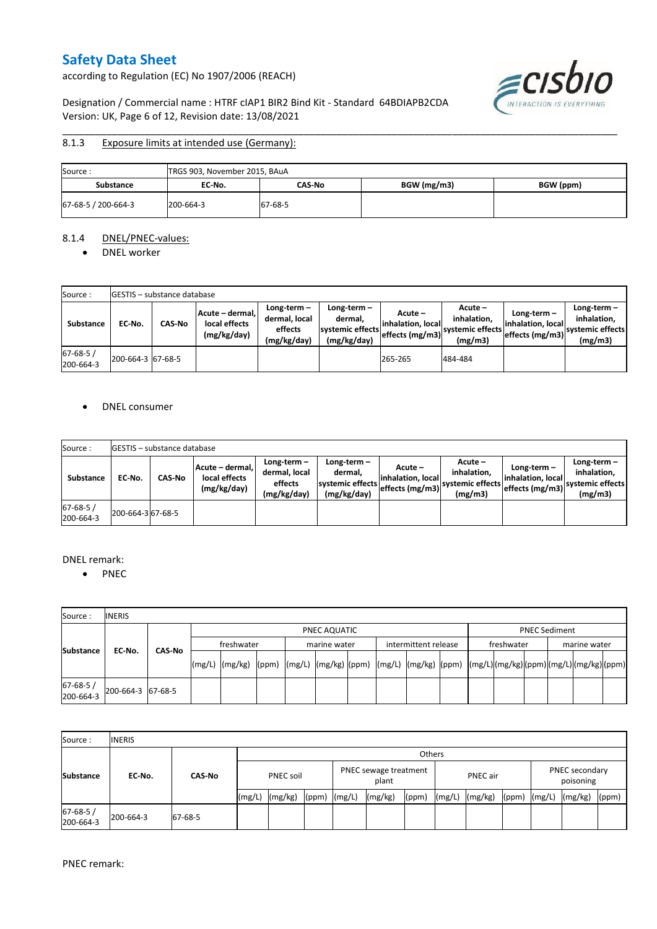according to Regulation (EC) No 1907/2006 (REACH)

ecisbio INTERACTION IS EV **THING** 

## Designation / Commercial name : HTRF cIAP1 BIR2 Bind Kit - Standard 64BDIAPB2CDA Version: UK, Page 6 of 12, Revision date: 13/08/2021

#### \_\_\_\_\_\_\_\_\_\_\_\_\_\_\_\_\_\_\_\_\_\_\_\_\_\_\_\_\_\_\_\_\_\_\_\_\_\_\_\_\_\_\_\_\_\_\_\_\_\_\_\_\_\_\_\_\_\_\_\_\_\_\_\_\_\_\_\_\_\_\_\_\_\_\_\_\_\_\_\_\_\_\_\_\_\_\_\_\_\_\_\_\_\_\_\_\_\_\_\_\_ 8.1.3 Exposure limits at intended use (Germany):

| Source:             | TRGS 903, November 2015, BAuA |         |             |           |
|---------------------|-------------------------------|---------|-------------|-----------|
| <b>Substance</b>    | EC No.                        | CAS-No  | BGW (mg/m3) | BGW (ppm) |
| 67-68-5 / 200-664-3 | 200-664-3                     | 67-68-5 |             |           |

#### 8.1.4 DNEL/PNEC-values:

• DNEL worker

| Source:                    |                   | <b>IGESTIS – substance database</b> |                                                 |                                                       |                                                           |                                                  |                                                       |                                                        |                                                             |
|----------------------------|-------------------|-------------------------------------|-------------------------------------------------|-------------------------------------------------------|-----------------------------------------------------------|--------------------------------------------------|-------------------------------------------------------|--------------------------------------------------------|-------------------------------------------------------------|
| Substance                  | EC-No.            | <b>CAS-No</b>                       | Acute - dermal,<br>local effects<br>(mg/kg/day) | Long-term-<br>dermal, local<br>effects<br>(mg/kg/day) | Long-term –<br>dermal.<br>systemic effects<br>(mg/kg/day) | Acute –<br>linhalation. local<br>effects (mg/m3) | Acute -<br>inhalation,<br>systemic effects<br>(mg/m3) | Long-term $-$<br>linhalation. local<br>effects (mg/m3) | $Long-term -$<br>inhalation,<br>systemic effects<br>(mg/m3) |
| $67 - 68 - 5$<br>200-664-3 | 200-664-3 67-68-5 |                                     |                                                 |                                                       |                                                           | 265-265                                          | 484-484                                               |                                                        |                                                             |

### • DNEL consumer

| Source:                     |                   | <b>IGESTIS - substance database</b> |                                                 |                                                       |                                                             |                                                  |                                                       |                                                      |                                                             |
|-----------------------------|-------------------|-------------------------------------|-------------------------------------------------|-------------------------------------------------------|-------------------------------------------------------------|--------------------------------------------------|-------------------------------------------------------|------------------------------------------------------|-------------------------------------------------------------|
| <b>Substance</b>            | EC No.            | <b>CAS No</b>                       | Acute - dermal.<br>local effects<br>(mg/kg/day) | Long-term-<br>dermal, local<br>effects<br>(mg/kg/day) | Long-term $-$<br>dermal.<br>systemic effects<br>(mg/kg/day) | Acute –<br>linhalation. local<br>effects (mg/m3) | Acute -<br>inhalation.<br>systemic effects<br>(mg/m3) | Long-term –<br>linhalation. local<br>effects (mg/m3) | $Long-term -$<br>inhalation.<br>systemic effects<br>(mg/m3) |
| $67 - 68 - 5/$<br>200-664-3 | 200-664-3 67-68-5 |                                     |                                                 |                                                       |                                                             |                                                  |                                                       |                                                      |                                                             |

#### DNEL remark:

• PNEC

| Source:               | <b>INERIS</b>     |  |              |        |                                                                                                                                                                                                                                                                                                                                                                                                                                                                   |  |              |  |  |                      |  |            |                      |  |              |  |  |  |
|-----------------------|-------------------|--|--------------|--------|-------------------------------------------------------------------------------------------------------------------------------------------------------------------------------------------------------------------------------------------------------------------------------------------------------------------------------------------------------------------------------------------------------------------------------------------------------------------|--|--------------|--|--|----------------------|--|------------|----------------------|--|--------------|--|--|--|
|                       |                   |  | PNEC AQUATIC |        |                                                                                                                                                                                                                                                                                                                                                                                                                                                                   |  |              |  |  |                      |  |            | <b>PNEC Sediment</b> |  |              |  |  |  |
| CAS-No                |                   |  | freshwater   |        |                                                                                                                                                                                                                                                                                                                                                                                                                                                                   |  | marine water |  |  | intermittent release |  | freshwater |                      |  | marine water |  |  |  |
| <b>Substance</b>      | EC-No.            |  |              | (mg/L) | $\lceil \frac{\text{mg}}{\text{mg}} \rceil \text{g} \rceil \text{g} \rceil \text{g} \rceil \text{g} \rceil \text{g} \rceil \text{g} \rceil \text{g} \rceil \text{g} \rceil \text{g} \rceil \text{g} \rceil \text{g} \rceil \text{g} \rceil \text{g} \rceil \text{g} \rceil \text{g} \rceil \text{g} \rceil \text{g} \rceil \text{g} \rceil \text{g} \rceil \text{g} \rceil \text{g} \rceil \text{g} \rceil \text{g} \rceil \text{g} \rceil \text{g} \rceil \text$ |  |              |  |  |                      |  |            |                      |  |              |  |  |  |
| 67-68-5/<br>200-664-3 | 200-664-3 67-68-5 |  |              |        |                                                                                                                                                                                                                                                                                                                                                                                                                                                                   |  |              |  |  |                      |  |            |                      |  |              |  |  |  |

| Source:                     | <b>INERIS</b> |               |                  |         |       |                                |         |       |                 |         |       |                             |         |       |
|-----------------------------|---------------|---------------|------------------|---------|-------|--------------------------------|---------|-------|-----------------|---------|-------|-----------------------------|---------|-------|
|                             |               |               | Others           |         |       |                                |         |       |                 |         |       |                             |         |       |
| <b>Substance</b>            | EC-No.        | <b>CAS-No</b> | <b>PNEC soil</b> |         |       | PNEC sewage treatment<br>plant |         |       | <b>PNEC</b> air |         |       | PNEC secondary<br>poisoning |         |       |
|                             |               |               | (mg/L)           | (mg/kg) | (ppm) | (mg/L)                         | (mg/kg) | (ppm) | (mg/L)          | (mg/kg) | (ppm) | (mg/L)                      | (mg/kg) | (ppm) |
| $67 - 68 - 5/$<br>200-664-3 | 200-664-3     | 67-68-5       |                  |         |       |                                |         |       |                 |         |       |                             |         |       |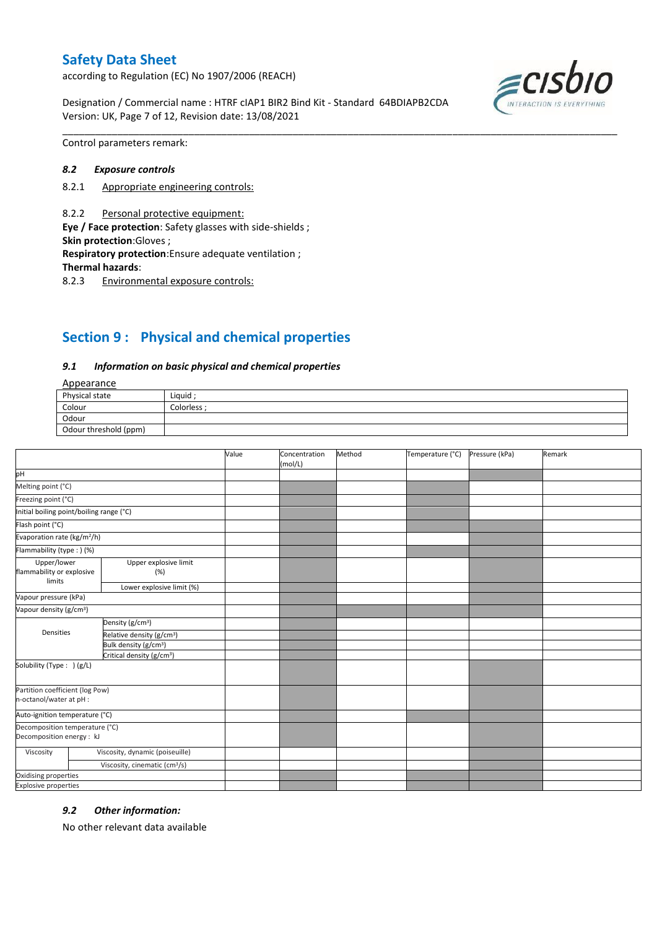according to Regulation (EC) No 1907/2006 (REACH)

Designation / Commercial name : HTRF cIAP1 BIR2 Bind Kit - Standard 64BDIAPB2CDA Version: UK, Page 7 of 12, Revision date: 13/08/2021



Control parameters remark:

#### *8.2 Exposure controls*

- 8.2.1 Appropriate engineering controls:
- 8.2.2 Personal protective equipment:

**Eye / Face protection**: Safety glasses with side-shields ; **Skin protection**:Gloves ;

**Respiratory protection**:Ensure adequate ventilation ;

**Thermal hazards**:

8.2.3 Environmental exposure controls:

# **Section 9 : Physical and chemical properties**

#### *9.1 Information on basic physical and chemical properties*

### **Annearance**

| $-100$                |             |  |
|-----------------------|-------------|--|
| Physical state        | Liquid      |  |
| Colour                | Colorless : |  |
| Odour                 |             |  |
| Odour threshold (ppm) |             |  |

\_\_\_\_\_\_\_\_\_\_\_\_\_\_\_\_\_\_\_\_\_\_\_\_\_\_\_\_\_\_\_\_\_\_\_\_\_\_\_\_\_\_\_\_\_\_\_\_\_\_\_\_\_\_\_\_\_\_\_\_\_\_\_\_\_\_\_\_\_\_\_\_\_\_\_\_\_\_\_\_\_\_\_\_\_\_\_\_\_\_\_\_\_\_\_\_\_\_\_\_\_

|                                                             |                                           | Value | Concentration<br>(mol/L) | Method | Temperature (°C) | Pressure (kPa) | Remark |
|-------------------------------------------------------------|-------------------------------------------|-------|--------------------------|--------|------------------|----------------|--------|
| pH                                                          |                                           |       |                          |        |                  |                |        |
| Melting point (°C)                                          |                                           |       |                          |        |                  |                |        |
| Freezing point (°C)                                         |                                           |       |                          |        |                  |                |        |
| Initial boiling point/boiling range (°C)                    |                                           |       |                          |        |                  |                |        |
| Flash point (°C)                                            |                                           |       |                          |        |                  |                |        |
| Evaporation rate (kg/m <sup>2</sup> /h)                     |                                           |       |                          |        |                  |                |        |
| Flammability (type: ) (%)                                   |                                           |       |                          |        |                  |                |        |
| Upper/lower<br>flammability or explosive                    | Upper explosive limit<br>(%)              |       |                          |        |                  |                |        |
| limits                                                      | Lower explosive limit (%)                 |       |                          |        |                  |                |        |
| Vapour pressure (kPa)                                       |                                           |       |                          |        |                  |                |        |
| Vapour density (g/cm <sup>3</sup> )                         |                                           |       |                          |        |                  |                |        |
| Densities                                                   | Density (g/cm <sup>3</sup> )              |       |                          |        |                  |                |        |
|                                                             | Relative density (g/cm <sup>3</sup> )     |       |                          |        |                  |                |        |
|                                                             | Bulk density (g/cm <sup>3</sup> )         |       |                          |        |                  |                |        |
| Critical density (g/cm <sup>3</sup> )                       |                                           |       |                          |        |                  |                |        |
| Solubility (Type: ) (g/L)                                   |                                           |       |                          |        |                  |                |        |
| Partition coefficient (log Pow)<br>n-octanol/water at pH :  |                                           |       |                          |        |                  |                |        |
| Auto-ignition temperature (°C)                              |                                           |       |                          |        |                  |                |        |
| Decomposition temperature (°C)<br>Decomposition energy : kJ |                                           |       |                          |        |                  |                |        |
| Viscosity                                                   | Viscosity, dynamic (poiseuille)           |       |                          |        |                  |                |        |
|                                                             | Viscosity, cinematic (cm <sup>3</sup> /s) |       |                          |        |                  |                |        |
| Oxidising properties                                        |                                           |       |                          |        |                  |                |        |
| <b>Explosive properties</b>                                 |                                           |       |                          |        |                  |                |        |

#### *9.2 Other information:*

No other relevant data available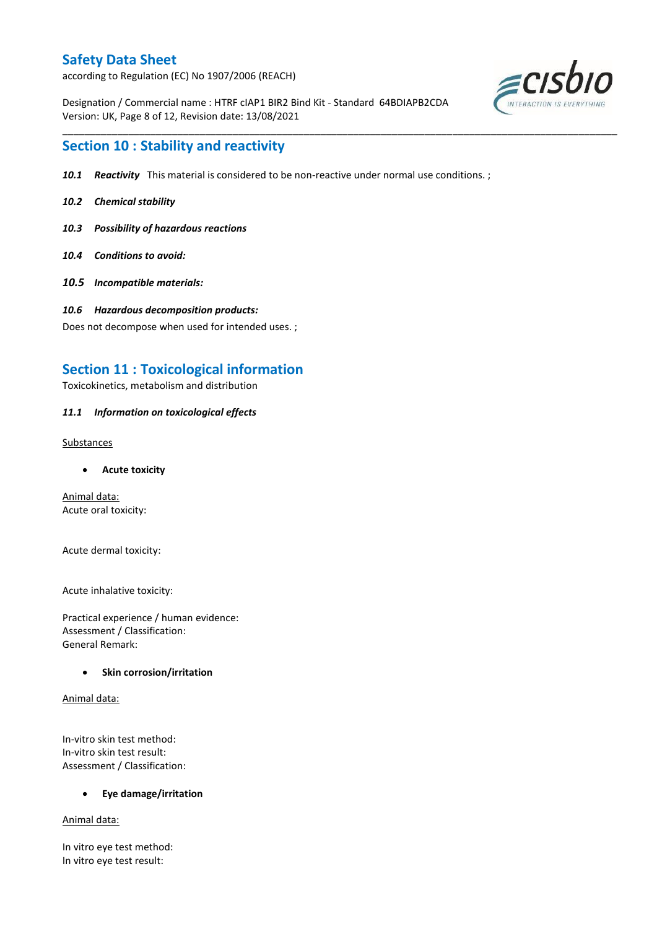according to Regulation (EC) No 1907/2006 (REACH)

Designation / Commercial name : HTRF cIAP1 BIR2 Bind Kit - Standard 64BDIAPB2CDA Version: UK, Page 8 of 12, Revision date: 13/08/2021



## **Section 10 : Stability and reactivity**

*10.1 Reactivity* This material is considered to be non-reactive under normal use conditions. ;

\_\_\_\_\_\_\_\_\_\_\_\_\_\_\_\_\_\_\_\_\_\_\_\_\_\_\_\_\_\_\_\_\_\_\_\_\_\_\_\_\_\_\_\_\_\_\_\_\_\_\_\_\_\_\_\_\_\_\_\_\_\_\_\_\_\_\_\_\_\_\_\_\_\_\_\_\_\_\_\_\_\_\_\_\_\_\_\_\_\_\_\_\_\_\_\_\_\_\_\_\_

- *10.2 Chemical stability*
- *10.3 Possibility of hazardous reactions*
- *10.4 Conditions to avoid:*
- *10.5 Incompatible materials:*
- *10.6 Hazardous decomposition products:*

Does not decompose when used for intended uses. ;

## **Section 11 : Toxicological information**

Toxicokinetics, metabolism and distribution

### *11.1 Information on toxicological effects*

Substances

**Acute toxicity**

Animal data: Acute oral toxicity:

Acute dermal toxicity:

Acute inhalative toxicity:

Practical experience / human evidence: Assessment / Classification: General Remark:

### **•** Skin corrosion/irritation

Animal data:

In-vitro skin test method: In-vitro skin test result: Assessment / Classification:

**Eye damage/irritation**

Animal data:

In vitro eye test method: In vitro eye test result: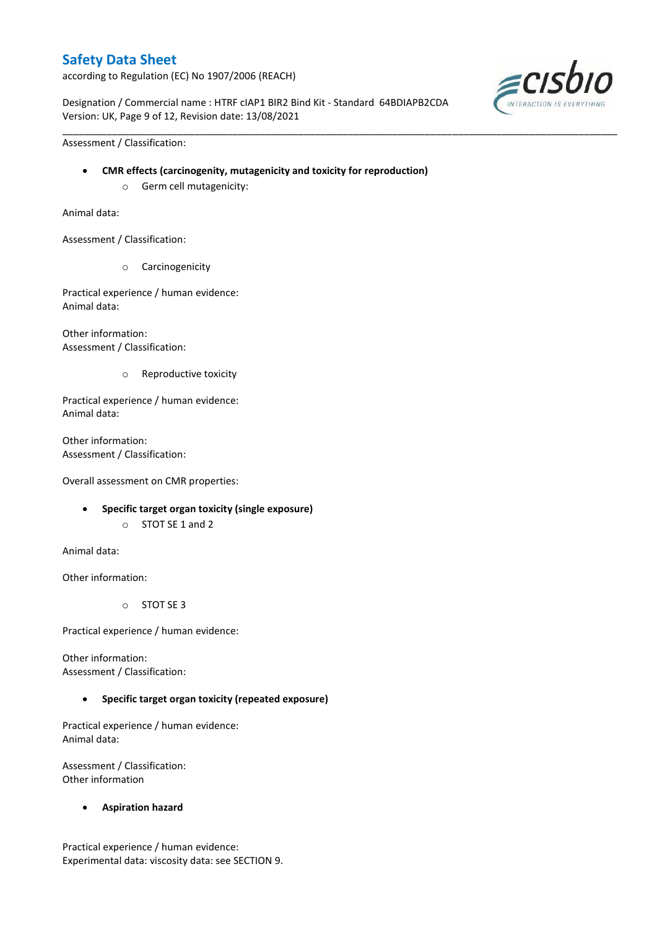according to Regulation (EC) No 1907/2006 (REACH)

Designation / Commercial name : HTRF cIAP1 BIR2 Bind Kit - Standard 64BDIAPB2CDA Version: UK, Page 9 of 12, Revision date: 13/08/2021

\_\_\_\_\_\_\_\_\_\_\_\_\_\_\_\_\_\_\_\_\_\_\_\_\_\_\_\_\_\_\_\_\_\_\_\_\_\_\_\_\_\_\_\_\_\_\_\_\_\_\_\_\_\_\_\_\_\_\_\_\_\_\_\_\_\_\_\_\_\_\_\_\_\_\_\_\_\_\_\_\_\_\_\_\_\_\_\_\_\_\_\_\_\_\_\_\_\_\_\_\_



Assessment / Classification:

- **CMR effects (carcinogenity, mutagenicity and toxicity for reproduction)**
	- o Germ cell mutagenicity:

Animal data:

Assessment / Classification:

o Carcinogenicity

Practical experience / human evidence: Animal data:

Other information: Assessment / Classification:

o Reproductive toxicity

Practical experience / human evidence: Animal data:

Other information: Assessment / Classification:

Overall assessment on CMR properties:

- **Specific target organ toxicity (single exposure)**
	- o STOT SE 1 and 2

Animal data:

Other information:

o STOT SE 3

Practical experience / human evidence:

Other information: Assessment / Classification:

#### **Specific target organ toxicity (repeated exposure)**

Practical experience / human evidence: Animal data:

Assessment / Classification: Other information

**Aspiration hazard**

Practical experience / human evidence: Experimental data: viscosity data: see SECTION 9.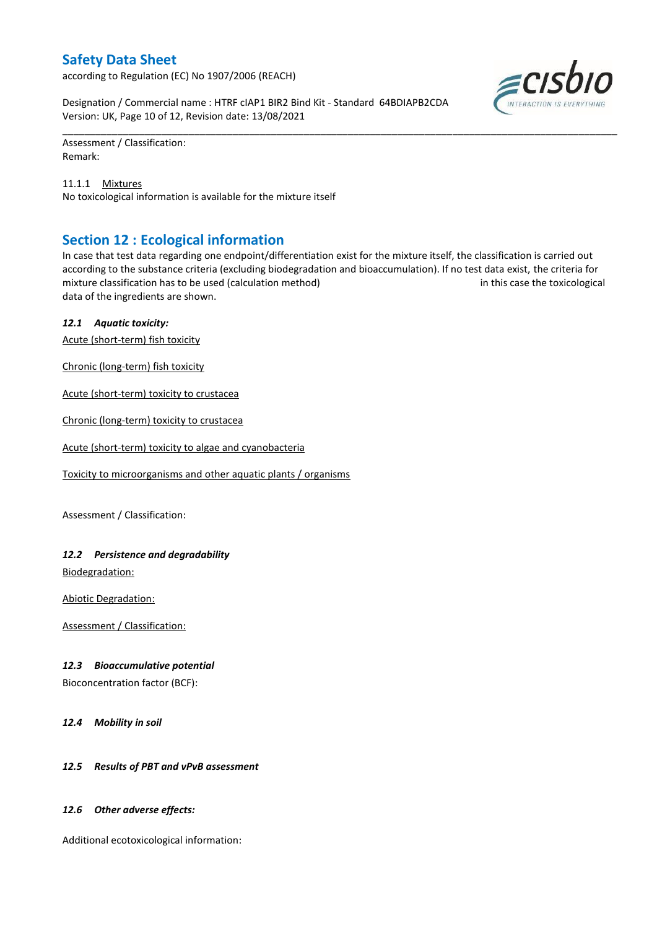according to Regulation (EC) No 1907/2006 (REACH)

Designation / Commercial name : HTRF cIAP1 BIR2 Bind Kit - Standard 64BDIAPB2CDA Version: UK, Page 10 of 12, Revision date: 13/08/2021

Assessment / Classification: Remark:

11.1.1 Mixtures No toxicological information is available for the mixture itself

## **Section 12 : Ecological information**

In case that test data regarding one endpoint/differentiation exist for the mixture itself, the classification is carried out according to the substance criteria (excluding biodegradation and bioaccumulation). If no test data exist, the criteria for mixture classification has to be used (calculation method) in this case the toxicological data of the ingredients are shown.

\_\_\_\_\_\_\_\_\_\_\_\_\_\_\_\_\_\_\_\_\_\_\_\_\_\_\_\_\_\_\_\_\_\_\_\_\_\_\_\_\_\_\_\_\_\_\_\_\_\_\_\_\_\_\_\_\_\_\_\_\_\_\_\_\_\_\_\_\_\_\_\_\_\_\_\_\_\_\_\_\_\_\_\_\_\_\_\_\_\_\_\_\_\_\_\_\_\_\_\_\_

### *12.1 Aquatic toxicity:*

Acute (short-term) fish toxicity

Chronic (long-term) fish toxicity

Acute (short-term) toxicity to crustacea

Chronic (long-term) toxicity to crustacea

Acute (short-term) toxicity to algae and cyanobacteria

Toxicity to microorganisms and other aquatic plants / organisms

Assessment / Classification:

### *12.2 Persistence and degradability*

Biodegradation:

Abiotic Degradation:

Assessment / Classification:

### *12.3 Bioaccumulative potential*

Bioconcentration factor (BCF):

*12.4 Mobility in soil*

### *12.5 Results of PBT and vPvB assessment*

### *12.6 Other adverse effects:*

Additional ecotoxicological information:

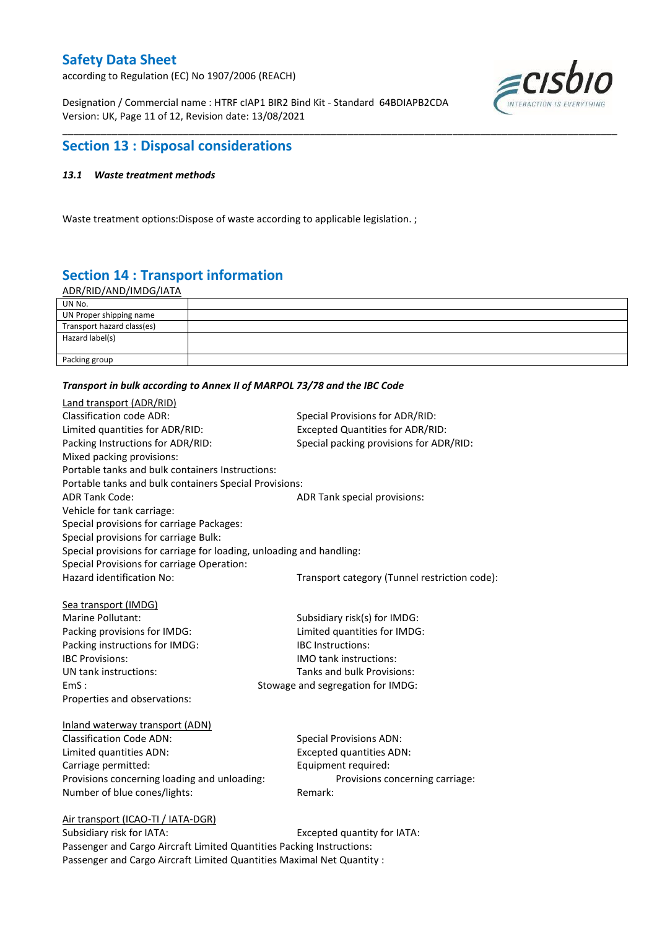according to Regulation (EC) No 1907/2006 (REACH)

Designation / Commercial name : HTRF cIAP1 BIR2 Bind Kit - Standard 64BDIAPB2CDA Version: UK, Page 11 of 12, Revision date: 13/08/2021



## **Section 13 : Disposal considerations**

### *13.1 Waste treatment methods*

Waste treatment options:Dispose of waste according to applicable legislation. ;

# **Section 14 : Transport information**

ADR/RID/AND/IMDG/IATA

| UN No.                     |  |
|----------------------------|--|
| UN Proper shipping name    |  |
| Transport hazard class(es) |  |
| Hazard label(s)            |  |
| Packing group              |  |

\_\_\_\_\_\_\_\_\_\_\_\_\_\_\_\_\_\_\_\_\_\_\_\_\_\_\_\_\_\_\_\_\_\_\_\_\_\_\_\_\_\_\_\_\_\_\_\_\_\_\_\_\_\_\_\_\_\_\_\_\_\_\_\_\_\_\_\_\_\_\_\_\_\_\_\_\_\_\_\_\_\_\_\_\_\_\_\_\_\_\_\_\_\_\_\_\_\_\_\_\_

#### *Transport in bulk according to Annex II of MARPOL 73/78 and the IBC Code*

| Land transport (ADR/RID)                                             |                                               |  |  |
|----------------------------------------------------------------------|-----------------------------------------------|--|--|
| <b>Classification code ADR:</b>                                      | Special Provisions for ADR/RID:               |  |  |
| Limited quantities for ADR/RID:                                      | <b>Excepted Quantities for ADR/RID:</b>       |  |  |
| Packing Instructions for ADR/RID:                                    | Special packing provisions for ADR/RID:       |  |  |
| Mixed packing provisions:                                            |                                               |  |  |
| Portable tanks and bulk containers Instructions:                     |                                               |  |  |
| Portable tanks and bulk containers Special Provisions:               |                                               |  |  |
| <b>ADR Tank Code:</b>                                                | ADR Tank special provisions:                  |  |  |
| Vehicle for tank carriage:                                           |                                               |  |  |
| Special provisions for carriage Packages:                            |                                               |  |  |
| Special provisions for carriage Bulk:                                |                                               |  |  |
| Special provisions for carriage for loading, unloading and handling: |                                               |  |  |
| Special Provisions for carriage Operation:                           |                                               |  |  |
| Hazard identification No:                                            | Transport category (Tunnel restriction code): |  |  |
|                                                                      |                                               |  |  |
| Sea transport (IMDG)                                                 |                                               |  |  |
| Marine Pollutant:                                                    | Subsidiary risk(s) for IMDG:                  |  |  |
| Packing provisions for IMDG:                                         | Limited quantities for IMDG:                  |  |  |
| Packing instructions for IMDG:                                       | <b>IBC</b> Instructions:                      |  |  |
| <b>IBC Provisions:</b>                                               | <b>IMO</b> tank instructions:                 |  |  |
| UN tank instructions:                                                | Tanks and bulk Provisions:                    |  |  |
| EmS:                                                                 | Stowage and segregation for IMDG:             |  |  |
| Properties and observations:                                         |                                               |  |  |
|                                                                      |                                               |  |  |
| Inland waterway transport (ADN)                                      |                                               |  |  |
| <b>Classification Code ADN:</b>                                      | <b>Special Provisions ADN:</b>                |  |  |
| Limited quantities ADN:                                              | <b>Excepted quantities ADN:</b>               |  |  |
| Carriage permitted:                                                  | Equipment required:                           |  |  |
| Provisions concerning loading and unloading:                         | Provisions concerning carriage:               |  |  |
| Number of blue cones/lights:                                         | Remark:                                       |  |  |
|                                                                      |                                               |  |  |
| Air transport (ICAO-TI / IATA-DGR)<br>Cubridians rick for IATA.      | Evented quantity for IATA.                    |  |  |
|                                                                      |                                               |  |  |

### Subsidiary risk for IATA: Excepted quantity for IATA: Passenger and Cargo Aircraft Limited Quantities Packing Instructions: Passenger and Cargo Aircraft Limited Quantities Maximal Net Quantity :